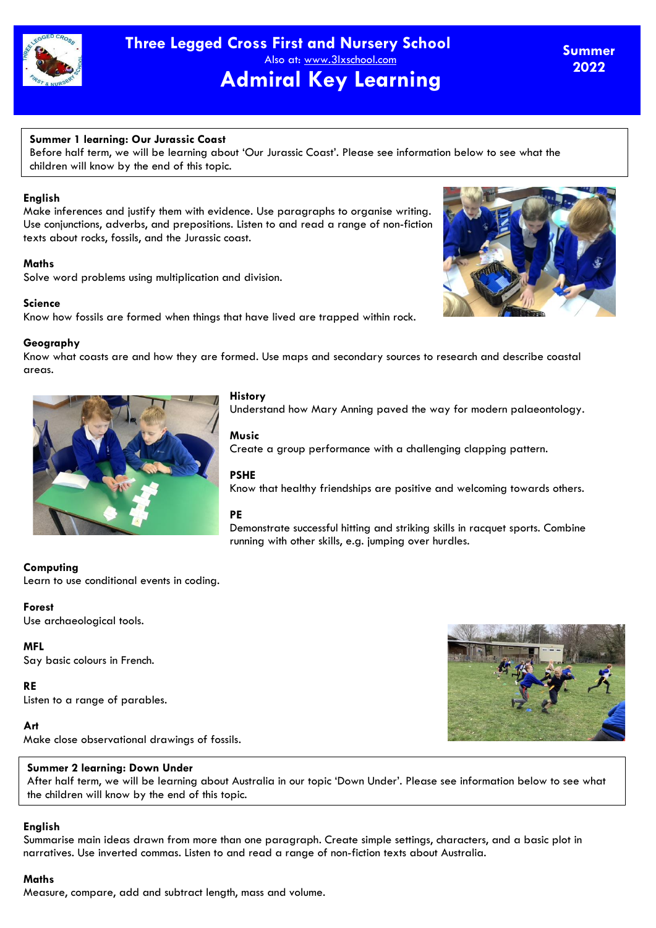

**Summer 2022**

### **Summer 1 learning: Our Jurassic Coast**

Before half term, we will be learning about 'Our Jurassic Coast'. Please see information below to see what the children will know by the end of this topic.

### **English**

Make inferences and justify them with evidence. Use paragraphs to organise writing. Use conjunctions, adverbs, and prepositions. Listen to and read a range of non-fiction texts about rocks, fossils, and the Jurassic coast.

### **Maths**

Solve word problems using multiplication and division.

### **Science**

Know how fossils are formed when things that have lived are trapped within rock.

### **Geography**

Know what coasts are and how they are formed. Use maps and secondary sources to research and describe coastal areas.



### **History**

Understand how Mary Anning paved the way for modern palaeontology.

### **Music**

Create a group performance with a challenging clapping pattern.

### **PSHE**

Know that healthy friendships are positive and welcoming towards others.

### **PE**

Demonstrate successful hitting and striking skills in racquet sports. Combine running with other skills, e.g. jumping over hurdles.

# **Computing**

Learn to use conditional events in coding.

#### **Forest**

Use archaeological tools.

### **MFL**

Say basic colours in French.

### **RE**

Listen to a range of parables.

### **Art**

Make close observational drawings of fossils.

### **Summer 2 learning: Down Under**

After half term, we will be learning about Australia in our topic 'Down Under'. Please see information below to see what the children will know by the end of this topic.

# **English**

Summarise main ideas drawn from more than one paragraph. Create simple settings, characters, and a basic plot in narratives. Use inverted commas. Listen to and read a range of non-fiction texts about Australia.

### **Maths**

Measure, compare, add and subtract length, mass and volume.